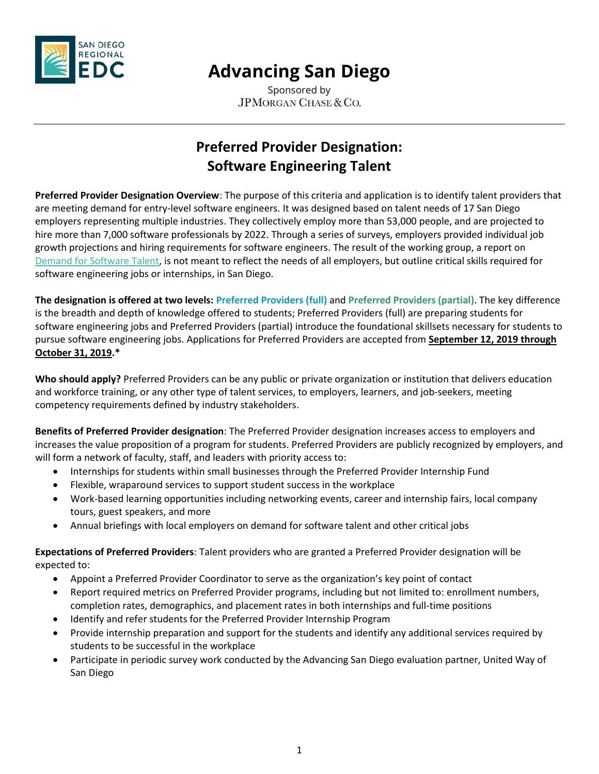

Sponsored by JPMORGAN CHASE & CO.

### **Preferred Provider Designation: Software Engineering Talent**

**Preferred Provider Designation Overview**: The purpose of this criteria and application is to identify talent providers that are meeting demand for entry-level software engineers. It was designed based on talent needs of 17 San Diego employers representing multiple industries. They collectively employ more than 53,000 people, and are projected to hire more than 7,000 software professionals by 2022. Through a series of surveys, employers provided individual job growth projections and hiring requirements for software engineers. The result of the working group, a report on [Demand for Software Talent,](file:///C:/Users/KGallagher/AppData/Local/Microsoft/Windows/INetCache/Content.Outlook/QNM04XUC/software.advancingsd.org) is not meant to reflect the needs of all employers, but outline critical skills required for software engineering jobs or internships, in San Diego.

**The designation is offered at two levels: Preferred Providers (full)** and **Preferred Providers (partial)**. The key difference is the breadth and depth of knowledge offered to students; Preferred Providers (full) are preparing students for software engineering jobs and Preferred Providers (partial) introduce the foundational skillsets necessary for students to pursue software engineering jobs. Applications for Preferred Providers are accepted from **September 12, 2019 through October 31, 2019.\***

**Who should apply?** Preferred Providers can be any public or private organization or institution that delivers education and workforce training, or any other type of talent services, to employers, learners, and job-seekers, meeting competency requirements defined by industry stakeholders.

**Benefits of Preferred Provider designation**: The Preferred Provider designation increases access to employers and increases the value proposition of a program for students. Preferred Providers are publicly recognized by employers, and will form a network of faculty, staff, and leaders with priority access to:

- Internships for students within small businesses through the Preferred Provider Internship Fund
- Flexible, wraparound services to support student success in the workplace
- Work-based learning opportunities including networking events, career and internship fairs, local company tours, guest speakers, and more
- Annual briefings with local employers on demand for software talent and other critical jobs

**Expectations of Preferred Providers**: Talent providers who are granted a Preferred Provider designation will be expected to:

- Appoint a Preferred Provider Coordinator to serve as the organization's key point of contact
- Report required metrics on Preferred Provider programs, including but not limited to: enrollment numbers, completion rates, demographics, and placement rates in both internships and full-time positions
- Identify and refer students for the Preferred Provider Internship Program
- Provide internship preparation and support for the students and identify any additional services required by students to be successful in the workplace
- Participate in periodic survey work conducted by the Advancing San Diego evaluation partner, United Way of San Diego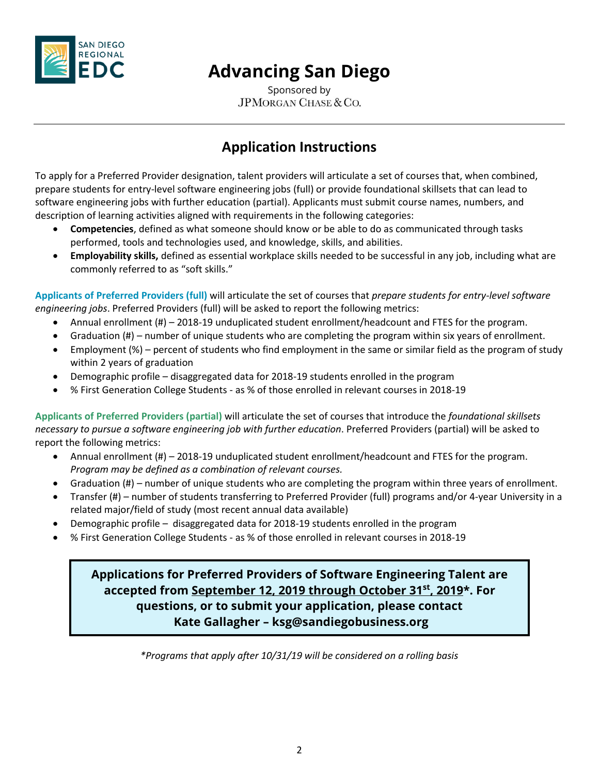

Sponsored by JPMORGAN CHASE & CO.

#### **Application Instructions**

To apply for a Preferred Provider designation, talent providers will articulate a set of courses that, when combined, prepare students for entry-level software engineering jobs (full) or provide foundational skillsets that can lead to software engineering jobs with further education (partial). Applicants must submit course names, numbers, and description of learning activities aligned with requirements in the following categories:

- **Competencies**, defined as what someone should know or be able to do as communicated through tasks performed, tools and technologies used, and knowledge, skills, and abilities.
- **Employability skills,** defined as essential workplace skills needed to be successful in any job, including what are commonly referred to as "soft skills."

**Applicants of Preferred Providers (full)** will articulate the set of courses that *prepare students for entry-level software engineering jobs*. Preferred Providers (full) will be asked to report the following metrics:

- Annual enrollment (#) 2018-19 unduplicated student enrollment/headcount and FTES for the program.
- Graduation (#) number of unique students who are completing the program within six years of enrollment.
- Employment (%) percent of students who find employment in the same or similar field as the program of study within 2 years of graduation
- Demographic profile disaggregated data for 2018-19 students enrolled in the program
- % First Generation College Students as % of those enrolled in relevant courses in 2018-19

**Applicants of Preferred Providers (partial)** will articulate the set of courses that introduce the *foundational skillsets necessary to pursue a software engineering job with further education*. Preferred Providers (partial) will be asked to report the following metrics:

- Annual enrollment (#) 2018-19 unduplicated student enrollment/headcount and FTES for the program. *Program may be defined as a combination of relevant courses.*
- Graduation (#) number of unique students who are completing the program within three years of enrollment.
- Transfer (#) number of students transferring to Preferred Provider (full) programs and/or 4-year University in a related major/field of study (most recent annual data available)
- Demographic profile disaggregated data for 2018-19 students enrolled in the program
- % First Generation College Students as % of those enrolled in relevant courses in 2018-19

#### **Applications for Preferred Providers of Software Engineering Talent are accepted from September 12, 2019 through October 31st, 2019\*. For questions, or to submit your application, please contact Kate Gallagher – ksg@sandiegobusiness.org**

*\*Programs that apply after 10/31/19 will be considered on a rolling basis*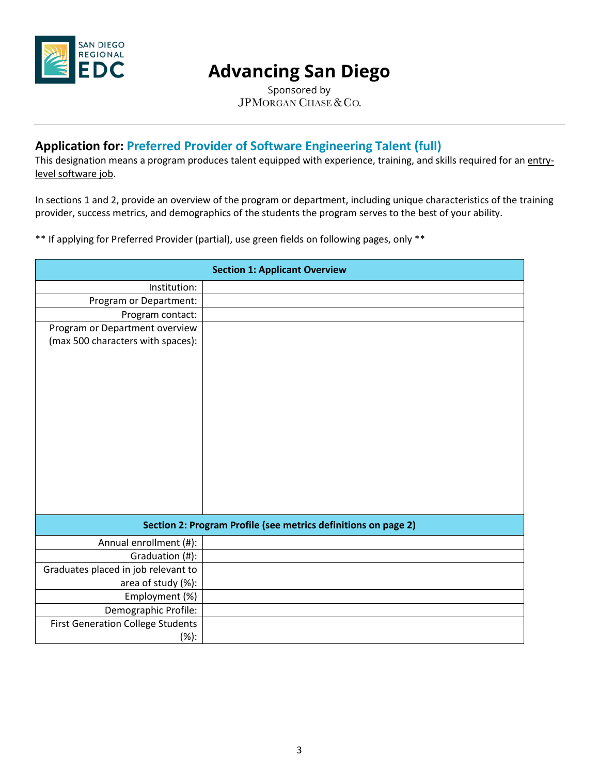

Sponsored by JPMORGAN CHASE & CO.

#### **Application for: Preferred Provider of Software Engineering Talent (full)**

This designation means a program produces talent equipped with experience, training, and skills required for an entrylevel software job.

In sections 1 and 2, provide an overview of the program or department, including unique characteristics of the training provider, success metrics, and demographics of the students the program serves to the best of your ability.

\*\* If applying for Preferred Provider (partial), use green fields on following pages, only \*\*

| <b>Section 1: Applicant Overview</b>                           |  |  |  |  |
|----------------------------------------------------------------|--|--|--|--|
| Institution:                                                   |  |  |  |  |
| Program or Department:                                         |  |  |  |  |
| Program contact:                                               |  |  |  |  |
| Program or Department overview                                 |  |  |  |  |
| (max 500 characters with spaces):                              |  |  |  |  |
|                                                                |  |  |  |  |
|                                                                |  |  |  |  |
|                                                                |  |  |  |  |
|                                                                |  |  |  |  |
|                                                                |  |  |  |  |
|                                                                |  |  |  |  |
|                                                                |  |  |  |  |
|                                                                |  |  |  |  |
|                                                                |  |  |  |  |
|                                                                |  |  |  |  |
|                                                                |  |  |  |  |
|                                                                |  |  |  |  |
| Section 2: Program Profile (see metrics definitions on page 2) |  |  |  |  |
| Annual enrollment (#):                                         |  |  |  |  |
| Graduation (#):                                                |  |  |  |  |
| Graduates placed in job relevant to                            |  |  |  |  |
| area of study (%):                                             |  |  |  |  |
| Employment (%)                                                 |  |  |  |  |
| Demographic Profile:                                           |  |  |  |  |
| <b>First Generation College Students</b>                       |  |  |  |  |
| (%):                                                           |  |  |  |  |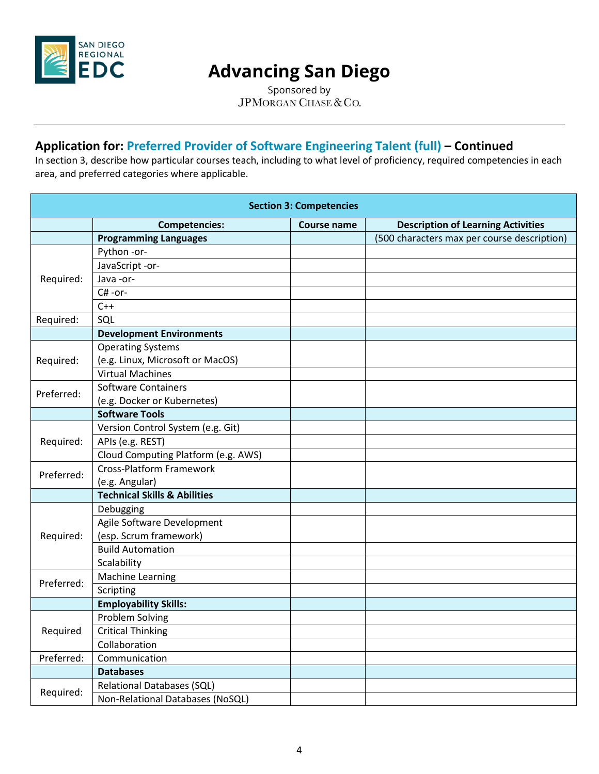

Sponsored by JPMORGAN CHASE & CO.

#### **Application for: Preferred Provider of Software Engineering Talent (full) – Continued**

In section 3, describe how particular courses teach, including to what level of proficiency, required competencies in each area, and preferred categories where applicable.

| <b>Section 3: Competencies</b> |                                         |                    |                                             |  |  |  |
|--------------------------------|-----------------------------------------|--------------------|---------------------------------------------|--|--|--|
|                                | <b>Competencies:</b>                    | <b>Course name</b> | <b>Description of Learning Activities</b>   |  |  |  |
|                                | <b>Programming Languages</b>            |                    | (500 characters max per course description) |  |  |  |
|                                | Python -or-                             |                    |                                             |  |  |  |
|                                | JavaScript -or-                         |                    |                                             |  |  |  |
| Required:                      | Java-or-                                |                    |                                             |  |  |  |
|                                | C#-or-                                  |                    |                                             |  |  |  |
|                                | $C++$                                   |                    |                                             |  |  |  |
| Required:                      | SQL                                     |                    |                                             |  |  |  |
|                                | <b>Development Environments</b>         |                    |                                             |  |  |  |
|                                | <b>Operating Systems</b>                |                    |                                             |  |  |  |
| Required:                      | (e.g. Linux, Microsoft or MacOS)        |                    |                                             |  |  |  |
|                                | <b>Virtual Machines</b>                 |                    |                                             |  |  |  |
| Preferred:                     | <b>Software Containers</b>              |                    |                                             |  |  |  |
|                                | (e.g. Docker or Kubernetes)             |                    |                                             |  |  |  |
|                                | <b>Software Tools</b>                   |                    |                                             |  |  |  |
|                                | Version Control System (e.g. Git)       |                    |                                             |  |  |  |
| Required:                      | APIs (e.g. REST)                        |                    |                                             |  |  |  |
|                                | Cloud Computing Platform (e.g. AWS)     |                    |                                             |  |  |  |
| Preferred:                     | <b>Cross-Platform Framework</b>         |                    |                                             |  |  |  |
|                                | (e.g. Angular)                          |                    |                                             |  |  |  |
|                                | <b>Technical Skills &amp; Abilities</b> |                    |                                             |  |  |  |
|                                | Debugging                               |                    |                                             |  |  |  |
|                                | Agile Software Development              |                    |                                             |  |  |  |
| Required:                      | (esp. Scrum framework)                  |                    |                                             |  |  |  |
|                                | <b>Build Automation</b>                 |                    |                                             |  |  |  |
|                                | Scalability                             |                    |                                             |  |  |  |
| Preferred:                     | <b>Machine Learning</b>                 |                    |                                             |  |  |  |
|                                | Scripting                               |                    |                                             |  |  |  |
|                                | <b>Employability Skills:</b>            |                    |                                             |  |  |  |
| Required                       | Problem Solving                         |                    |                                             |  |  |  |
|                                | <b>Critical Thinking</b>                |                    |                                             |  |  |  |
|                                | Collaboration                           |                    |                                             |  |  |  |
| Preferred:                     | Communication                           |                    |                                             |  |  |  |
|                                | <b>Databases</b>                        |                    |                                             |  |  |  |
| Required:                      | <b>Relational Databases (SQL)</b>       |                    |                                             |  |  |  |
|                                | Non-Relational Databases (NoSQL)        |                    |                                             |  |  |  |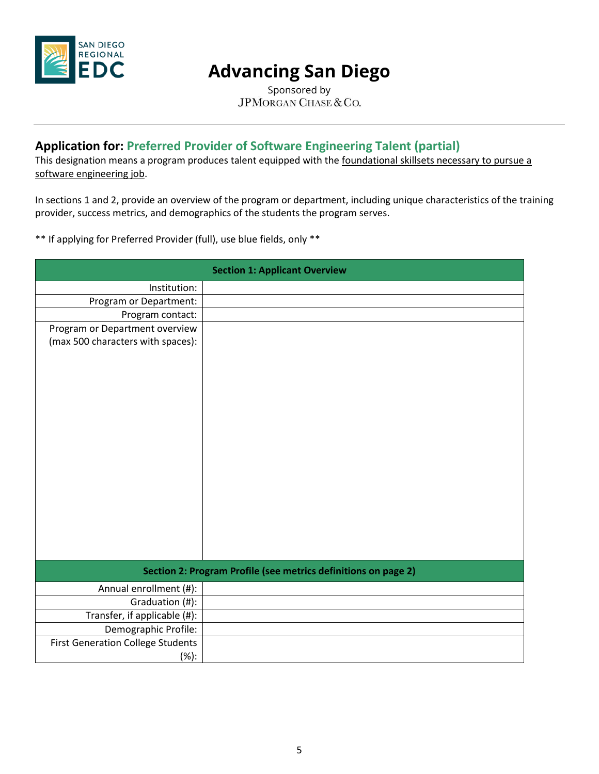

Sponsored by JPMORGAN CHASE & CO.

#### **Application for: Preferred Provider of Software Engineering Talent (partial)**

This designation means a program produces talent equipped with the foundational skillsets necessary to pursue a software engineering job.

In sections 1 and 2, provide an overview of the program or department, including unique characteristics of the training provider, success metrics, and demographics of the students the program serves.

\*\* If applying for Preferred Provider (full), use blue fields, only \*\*

| <b>Section 1: Applicant Overview</b>                           |  |  |  |  |
|----------------------------------------------------------------|--|--|--|--|
| Institution:                                                   |  |  |  |  |
| Program or Department:                                         |  |  |  |  |
| Program contact:                                               |  |  |  |  |
| Program or Department overview                                 |  |  |  |  |
| (max 500 characters with spaces):                              |  |  |  |  |
|                                                                |  |  |  |  |
|                                                                |  |  |  |  |
|                                                                |  |  |  |  |
|                                                                |  |  |  |  |
|                                                                |  |  |  |  |
|                                                                |  |  |  |  |
|                                                                |  |  |  |  |
|                                                                |  |  |  |  |
|                                                                |  |  |  |  |
|                                                                |  |  |  |  |
|                                                                |  |  |  |  |
|                                                                |  |  |  |  |
|                                                                |  |  |  |  |
|                                                                |  |  |  |  |
|                                                                |  |  |  |  |
| Section 2: Program Profile (see metrics definitions on page 2) |  |  |  |  |
| Annual enrollment (#):                                         |  |  |  |  |
| Graduation (#):                                                |  |  |  |  |
| Transfer, if applicable (#):                                   |  |  |  |  |
| Demographic Profile:                                           |  |  |  |  |
| <b>First Generation College Students</b>                       |  |  |  |  |
| (%):                                                           |  |  |  |  |